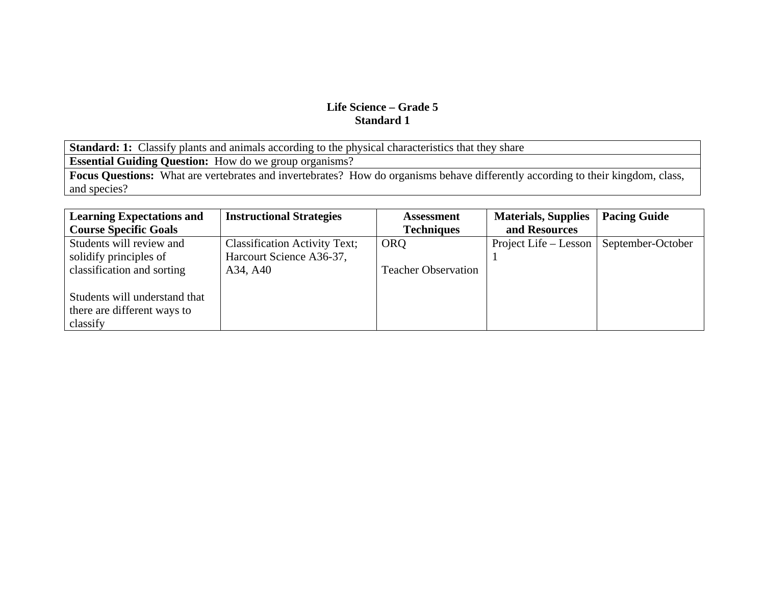**Standard: 1:** Classify plants and animals according to the physical characteristics that they share

**Essential Guiding Question:** How do we group organisms?

Focus Questions: What are vertebrates and invertebrates? How do organisms behave differently according to their kingdom, class, and species?

| <b>Learning Expectations and</b> | <b>Instructional Strategies</b>      | <b>Assessment</b>          | <b>Materials, Supplies</b>                | <b>Pacing Guide</b> |
|----------------------------------|--------------------------------------|----------------------------|-------------------------------------------|---------------------|
| <b>Course Specific Goals</b>     |                                      | <b>Techniques</b>          | and Resources                             |                     |
| Students will review and         | <b>Classification Activity Text;</b> | <b>ORQ</b>                 | Project Life – Lesson   September-October |                     |
| solidify principles of           | Harcourt Science A36-37,             |                            |                                           |                     |
| classification and sorting       | A34, A40                             | <b>Teacher Observation</b> |                                           |                     |
|                                  |                                      |                            |                                           |                     |
| Students will understand that    |                                      |                            |                                           |                     |
| there are different ways to      |                                      |                            |                                           |                     |
| classify                         |                                      |                            |                                           |                     |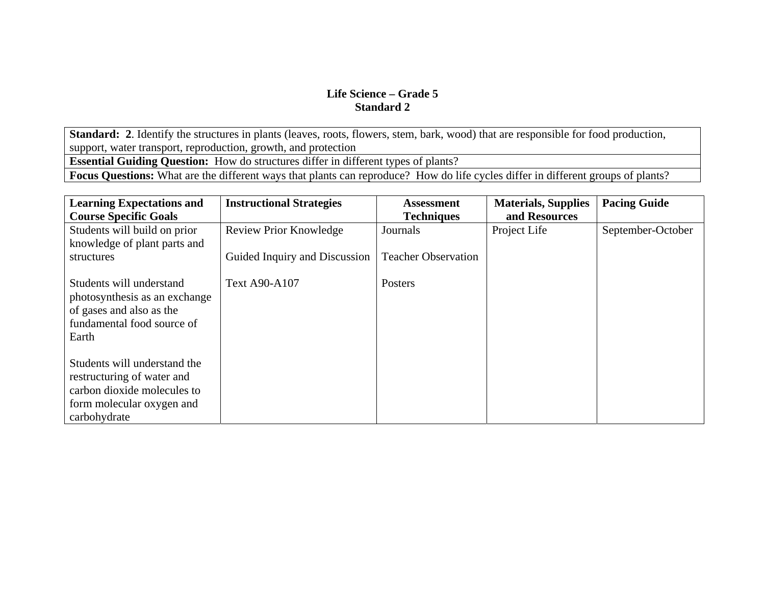**Standard: 2**. Identify the structures in plants (leaves, roots, flowers, stem, bark, wood) that are responsible for food production, support, water transport, reproduction, growth, and protection

**Essential Guiding Question:** How do structures differ in different types of plants?

**Focus Questions:** What are the different ways that plants can reproduce? How do life cycles differ in different groups of plants?

| <b>Learning Expectations and</b> | <b>Instructional Strategies</b> | <b>Assessment</b>          | <b>Materials, Supplies</b> | <b>Pacing Guide</b> |
|----------------------------------|---------------------------------|----------------------------|----------------------------|---------------------|
| <b>Course Specific Goals</b>     |                                 | <b>Techniques</b>          | and Resources              |                     |
| Students will build on prior     | <b>Review Prior Knowledge</b>   | Journals                   | Project Life               | September-October   |
| knowledge of plant parts and     |                                 |                            |                            |                     |
| structures                       | Guided Inquiry and Discussion   | <b>Teacher Observation</b> |                            |                     |
|                                  |                                 |                            |                            |                     |
| Students will understand         | <b>Text A90-A107</b>            | Posters                    |                            |                     |
| photosynthesis as an exchange    |                                 |                            |                            |                     |
| of gases and also as the         |                                 |                            |                            |                     |
| fundamental food source of       |                                 |                            |                            |                     |
| Earth                            |                                 |                            |                            |                     |
|                                  |                                 |                            |                            |                     |
| Students will understand the     |                                 |                            |                            |                     |
| restructuring of water and       |                                 |                            |                            |                     |
| carbon dioxide molecules to      |                                 |                            |                            |                     |
| form molecular oxygen and        |                                 |                            |                            |                     |
| carbohydrate                     |                                 |                            |                            |                     |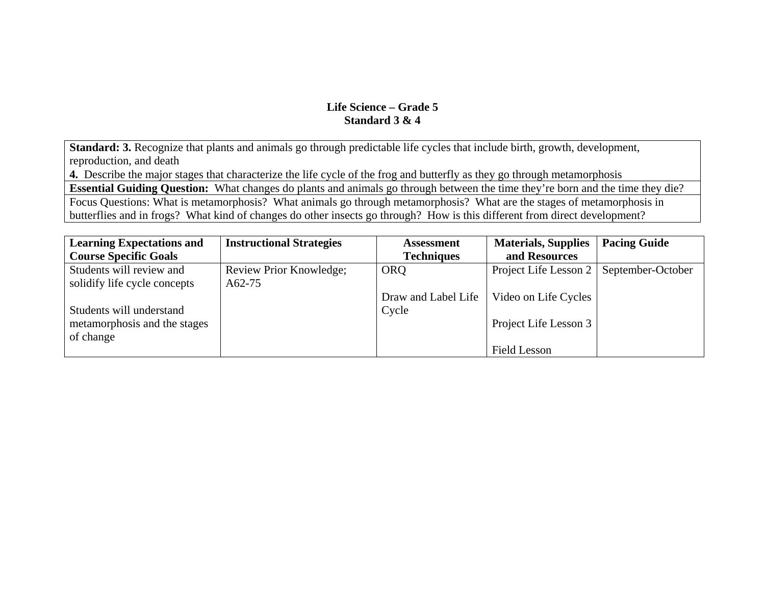**Standard: 3.** Recognize that plants and animals go through predictable life cycles that include birth, growth, development, reproduction, and death

**4.** Describe the major stages that characterize the life cycle of the frog and butterfly as they go through metamorphosis

**Essential Guiding Question:** What changes do plants and animals go through between the time they're born and the time they die?

Focus Questions: What is metamorphosis? What animals go through metamorphosis? What are the stages of metamorphosis in butterflies and in frogs? What kind of changes do other insects go through? How is this different from direct development?

| <b>Learning Expectations and</b> | <b>Instructional Strategies</b> | <b>Assessment</b>   | <b>Materials, Supplies</b> | <b>Pacing Guide</b> |
|----------------------------------|---------------------------------|---------------------|----------------------------|---------------------|
| <b>Course Specific Goals</b>     |                                 | <b>Techniques</b>   | and Resources              |                     |
| Students will review and         | Review Prior Knowledge;         | <b>ORQ</b>          | Project Life Lesson 2      | September-October   |
| solidify life cycle concepts     | A62-75                          |                     |                            |                     |
|                                  |                                 | Draw and Label Life | Video on Life Cycles       |                     |
| Students will understand         |                                 | Cycle               |                            |                     |
| metamorphosis and the stages     |                                 |                     | Project Life Lesson 3      |                     |
| of change                        |                                 |                     |                            |                     |
|                                  |                                 |                     | <b>Field Lesson</b>        |                     |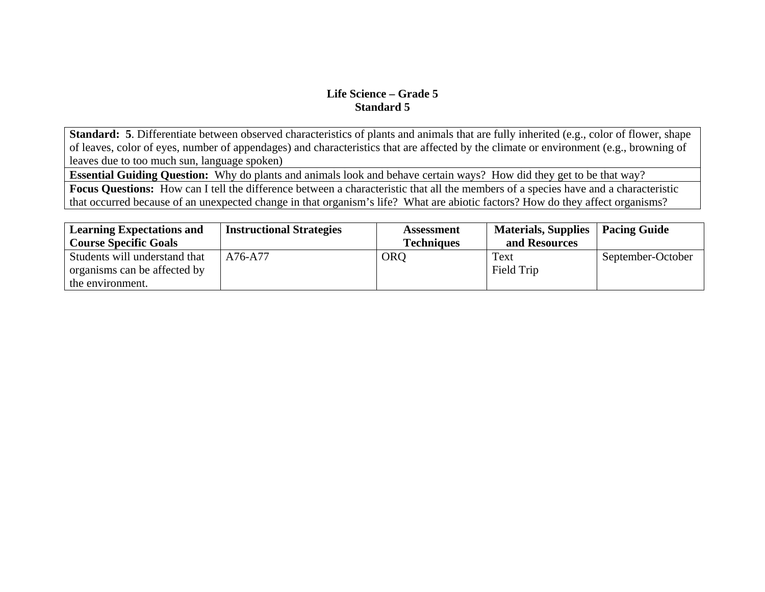**Standard: 5**. Differentiate between observed characteristics of plants and animals that are fully inherited (e.g., color of flower, shape of leaves, color of eyes, number of appendages) and characteristics that are affected by the climate or environment (e.g., browning of leaves due to too much sun, language spoken)

**Essential Guiding Question:** Why do plants and animals look and behave certain ways? How did they get to be that way?

**Focus Questions:** How can I tell the difference between a characteristic that all the members of a species have and a characteristic that occurred because of an unexpected change in that organism's life? What are abiotic factors? How do they affect organisms?

| <b>Learning Expectations and</b> | <b>Instructional Strategies</b> | <b>Assessment</b> | <b>Materials, Supplies</b> | <b>Pacing Guide</b> |
|----------------------------------|---------------------------------|-------------------|----------------------------|---------------------|
| <b>Course Specific Goals</b>     |                                 | <b>Techniques</b> | and Resources              |                     |
| Students will understand that    | A76-A77                         | ORO               | Text                       | September-October   |
| organisms can be affected by     |                                 |                   | Field Trip                 |                     |
| the environment.                 |                                 |                   |                            |                     |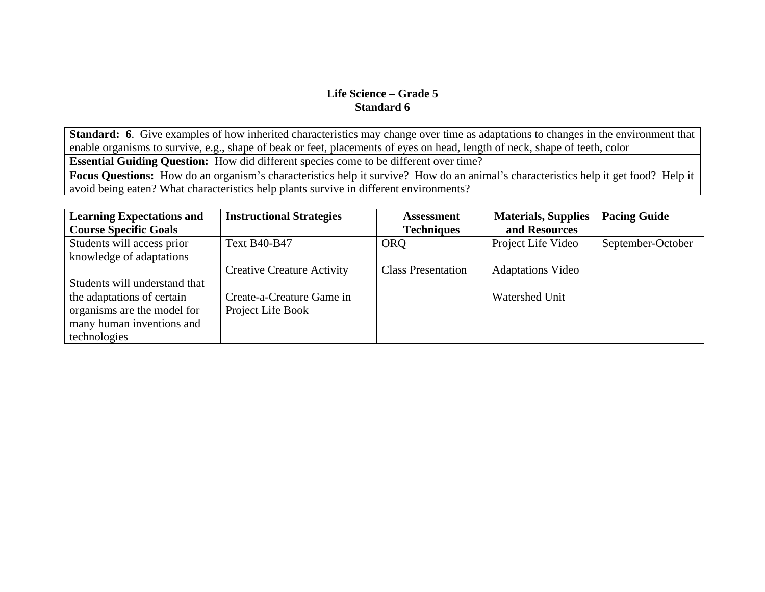**Standard: 6**. Give examples of how inherited characteristics may change over time as adaptations to changes in the environment that enable organisms to survive, e.g., shape of beak or feet, placements of eyes on head, length of neck, shape of teeth, color

**Essential Guiding Question:** How did different species come to be different over time?

**Focus Questions:** How do an organism's characteristics help it survive? How do an animal's characteristics help it get food? Help it avoid being eaten? What characteristics help plants survive in different environments?

| <b>Learning Expectations and</b> | <b>Instructional Strategies</b>   | Assessment                | <b>Materials, Supplies</b> | <b>Pacing Guide</b> |
|----------------------------------|-----------------------------------|---------------------------|----------------------------|---------------------|
| <b>Course Specific Goals</b>     |                                   | <b>Techniques</b>         | and Resources              |                     |
| Students will access prior       | <b>Text B40-B47</b>               | <b>ORQ</b>                | Project Life Video         | September-October   |
| knowledge of adaptations         |                                   |                           |                            |                     |
|                                  | <b>Creative Creature Activity</b> | <b>Class Presentation</b> | <b>Adaptations Video</b>   |                     |
| Students will understand that    |                                   |                           |                            |                     |
| the adaptations of certain       | Create-a-Creature Game in         |                           | <b>Watershed Unit</b>      |                     |
| organisms are the model for      | Project Life Book                 |                           |                            |                     |
| many human inventions and        |                                   |                           |                            |                     |
| technologies                     |                                   |                           |                            |                     |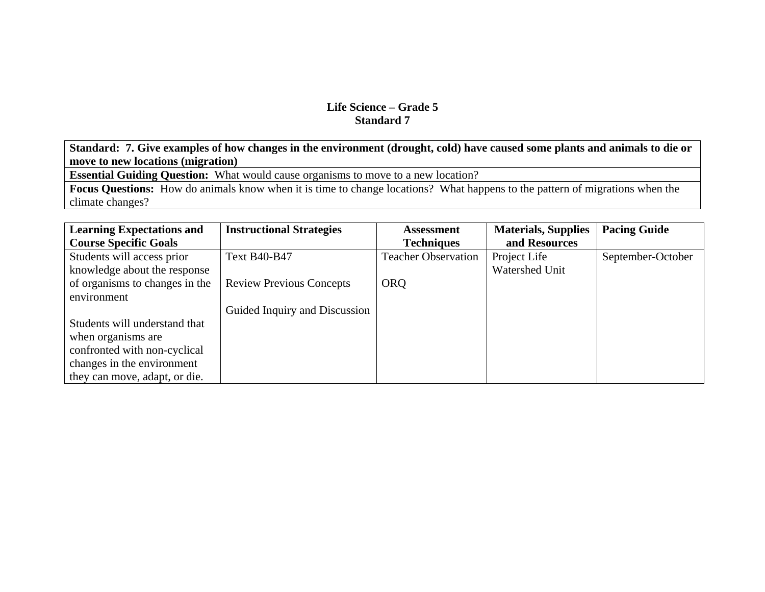**Standard: 7. Give examples of how changes in the environment (drought, cold) have caused some plants and animals to die or move to new locations (migration)**

**Essential Guiding Question:** What would cause organisms to move to a new location?

**Focus Questions:** How do animals know when it is time to change locations? What happens to the pattern of migrations when the climate changes?

| <b>Learning Expectations and</b> | <b>Instructional Strategies</b> | <b>Assessment</b>          | <b>Materials, Supplies</b> | <b>Pacing Guide</b> |
|----------------------------------|---------------------------------|----------------------------|----------------------------|---------------------|
| <b>Course Specific Goals</b>     |                                 | <b>Techniques</b>          | and Resources              |                     |
| Students will access prior       | <b>Text B40-B47</b>             | <b>Teacher Observation</b> | Project Life               | September-October   |
| knowledge about the response     |                                 |                            | Watershed Unit             |                     |
| of organisms to changes in the   | <b>Review Previous Concepts</b> | <b>ORQ</b>                 |                            |                     |
| environment                      |                                 |                            |                            |                     |
|                                  | Guided Inquiry and Discussion   |                            |                            |                     |
| Students will understand that    |                                 |                            |                            |                     |
| when organisms are               |                                 |                            |                            |                     |
| confronted with non-cyclical     |                                 |                            |                            |                     |
| changes in the environment       |                                 |                            |                            |                     |
| they can move, adapt, or die.    |                                 |                            |                            |                     |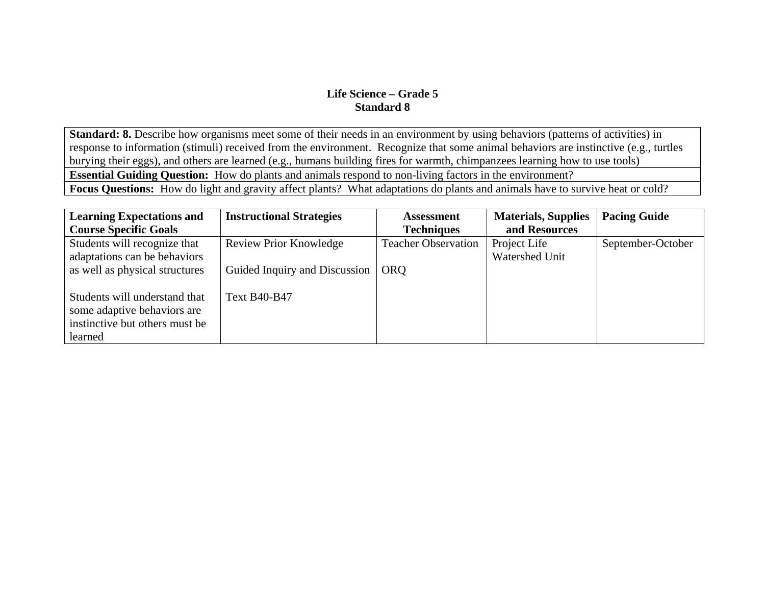**Standard: 8.** Describe how organisms meet some of their needs in an environment by using behaviors (patterns of activities) in response to information (stimuli) received from the environment. Recognize that some animal behaviors are instinctive (e.g., turtles burying their eggs), and others are learned (e.g., humans building fires for warmth, chimpanzees learning how to use tools) **Essential Guiding Question:** How do plants and animals respond to non-living factors in the environment? **Focus Questions:** How do light and gravity affect plants? What adaptations do plants and animals have to survive heat or cold?

| <b>Learning Expectations and</b>                                                                          | <b>Instructional Strategies</b> | <b>Assessment</b>          | <b>Materials, Supplies</b> | <b>Pacing Guide</b> |
|-----------------------------------------------------------------------------------------------------------|---------------------------------|----------------------------|----------------------------|---------------------|
| <b>Course Specific Goals</b>                                                                              |                                 | <b>Techniques</b>          | and Resources              |                     |
| Students will recognize that                                                                              | <b>Review Prior Knowledge</b>   | <b>Teacher Observation</b> | Project Life               | September-October   |
| adaptations can be behaviors                                                                              |                                 |                            | Watershed Unit             |                     |
| as well as physical structures                                                                            | Guided Inquiry and Discussion   | <b>ORO</b>                 |                            |                     |
| Students will understand that<br>some adaptive behaviors are<br>instinctive but others must be<br>learned | <b>Text B40-B47</b>             |                            |                            |                     |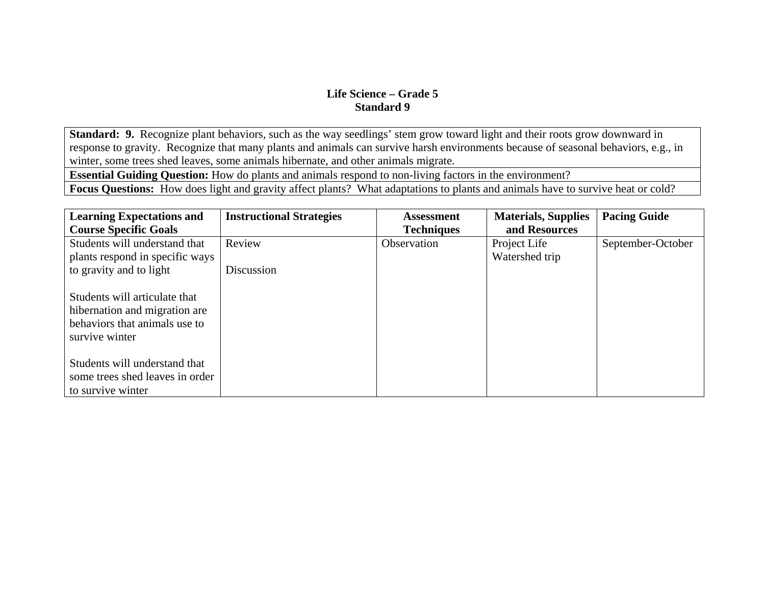**Standard: 9.** Recognize plant behaviors, such as the way seedlings' stem grow toward light and their roots grow downward in response to gravity. Recognize that many plants and animals can survive harsh environments because of seasonal behaviors, e.g., in winter, some trees shed leaves, some animals hibernate, and other animals migrate.

**Essential Guiding Question:** How do plants and animals respond to non-living factors in the environment?

Focus Questions: How does light and gravity affect plants? What adaptations to plants and animals have to survive heat or cold?

| <b>Learning Expectations and</b>                                                                                  | <b>Instructional Strategies</b> | <b>Assessment</b> | <b>Materials, Supplies</b><br>and Resources | <b>Pacing Guide</b> |
|-------------------------------------------------------------------------------------------------------------------|---------------------------------|-------------------|---------------------------------------------|---------------------|
| <b>Course Specific Goals</b>                                                                                      |                                 | <b>Techniques</b> |                                             |                     |
| Students will understand that                                                                                     | Review                          | Observation       | Project Life                                | September-October   |
| plants respond in specific ways                                                                                   |                                 |                   | Watershed trip                              |                     |
| to gravity and to light                                                                                           | Discussion                      |                   |                                             |                     |
| Students will articulate that<br>hibernation and migration are<br>behaviors that animals use to<br>survive winter |                                 |                   |                                             |                     |
| Students will understand that                                                                                     |                                 |                   |                                             |                     |
| some trees shed leaves in order                                                                                   |                                 |                   |                                             |                     |
| to survive winter                                                                                                 |                                 |                   |                                             |                     |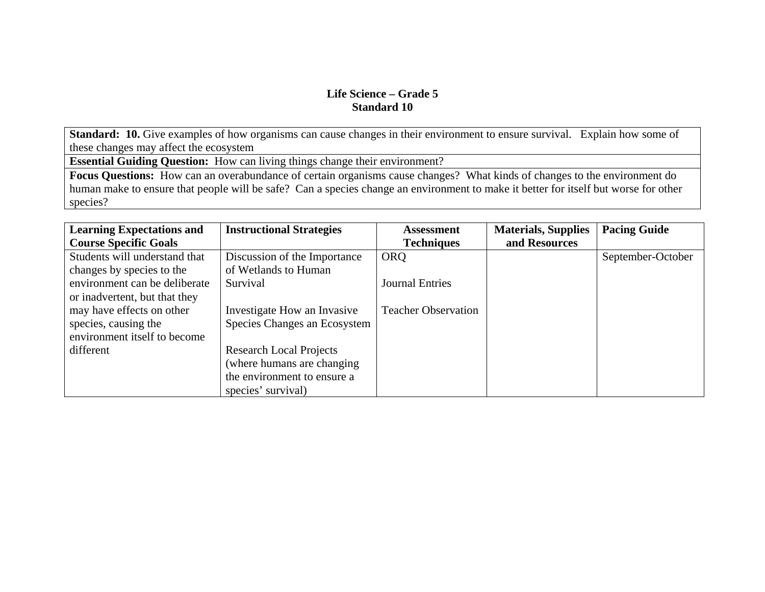**Standard: 10.** Give examples of how organisms can cause changes in their environment to ensure survival. Explain how some of these changes may affect the ecosystem

**Essential Guiding Question:** How can living things change their environment?

**Focus Questions:** How can an overabundance of certain organisms cause changes? What kinds of changes to the environment do human make to ensure that people will be safe? Can a species change an environment to make it better for itself but worse for other species?

| <b>Learning Expectations and</b> | <b>Instructional Strategies</b> | <b>Assessment</b>          | <b>Materials, Supplies</b> | <b>Pacing Guide</b> |
|----------------------------------|---------------------------------|----------------------------|----------------------------|---------------------|
| <b>Course Specific Goals</b>     |                                 | <b>Techniques</b>          | and Resources              |                     |
| Students will understand that    | Discussion of the Importance    | <b>ORQ</b>                 |                            | September-October   |
| changes by species to the        | of Wetlands to Human            |                            |                            |                     |
| environment can be deliberate    | Survival                        | <b>Journal Entries</b>     |                            |                     |
| or inadvertent, but that they    |                                 |                            |                            |                     |
| may have effects on other        | Investigate How an Invasive     | <b>Teacher Observation</b> |                            |                     |
| species, causing the             | Species Changes an Ecosystem    |                            |                            |                     |
| environment itself to become     |                                 |                            |                            |                     |
| different                        | <b>Research Local Projects</b>  |                            |                            |                     |
|                                  | (where humans are changing)     |                            |                            |                     |
|                                  | the environment to ensure a     |                            |                            |                     |
|                                  | species' survival)              |                            |                            |                     |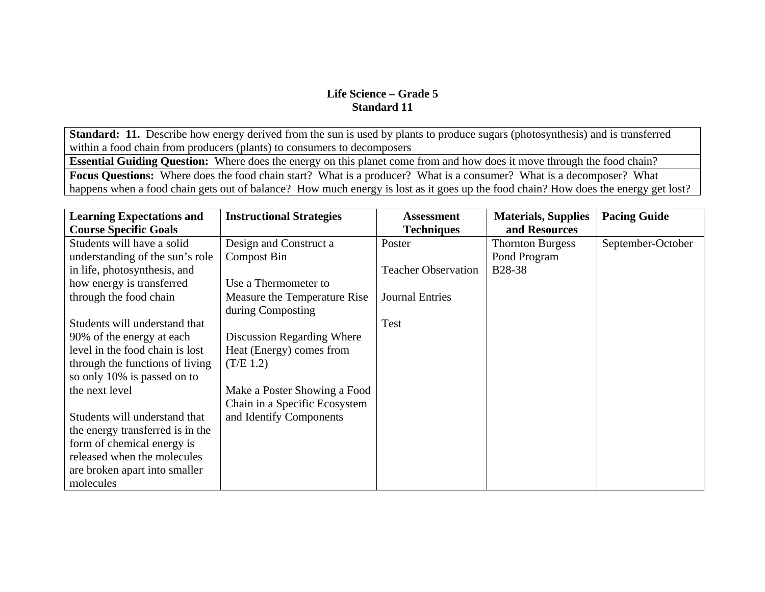**Standard: 11.** Describe how energy derived from the sun is used by plants to produce sugars (photosynthesis) and is transferred within a food chain from producers (plants) to consumers to decomposers

**Essential Guiding Question:** Where does the energy on this planet come from and how does it move through the food chain?

**Focus Questions:** Where does the food chain start? What is a producer? What is a consumer? What is a decomposer? What happens when a food chain gets out of balance? How much energy is lost as it goes up the food chain? How does the energy get lost?

| <b>Learning Expectations and</b> | <b>Instructional Strategies</b> | <b>Assessment</b>          | <b>Materials, Supplies</b> | <b>Pacing Guide</b> |
|----------------------------------|---------------------------------|----------------------------|----------------------------|---------------------|
| <b>Course Specific Goals</b>     |                                 | <b>Techniques</b>          | and Resources              |                     |
| Students will have a solid       | Design and Construct a          | Poster                     | <b>Thornton Burgess</b>    | September-October   |
| understanding of the sun's role  | <b>Compost Bin</b>              |                            | Pond Program               |                     |
| in life, photosynthesis, and     |                                 | <b>Teacher Observation</b> | <b>B28-38</b>              |                     |
| how energy is transferred        | Use a Thermometer to            |                            |                            |                     |
| through the food chain           | Measure the Temperature Rise    | <b>Journal Entries</b>     |                            |                     |
|                                  | during Composting               |                            |                            |                     |
| Students will understand that    |                                 | Test                       |                            |                     |
| 90% of the energy at each        | Discussion Regarding Where      |                            |                            |                     |
| level in the food chain is lost  | Heat (Energy) comes from        |                            |                            |                     |
| through the functions of living  | (T/E 1.2)                       |                            |                            |                     |
| so only 10% is passed on to      |                                 |                            |                            |                     |
| the next level                   | Make a Poster Showing a Food    |                            |                            |                     |
|                                  | Chain in a Specific Ecosystem   |                            |                            |                     |
| Students will understand that    | and Identify Components         |                            |                            |                     |
| the energy transferred is in the |                                 |                            |                            |                     |
| form of chemical energy is       |                                 |                            |                            |                     |
| released when the molecules      |                                 |                            |                            |                     |
| are broken apart into smaller    |                                 |                            |                            |                     |
| molecules                        |                                 |                            |                            |                     |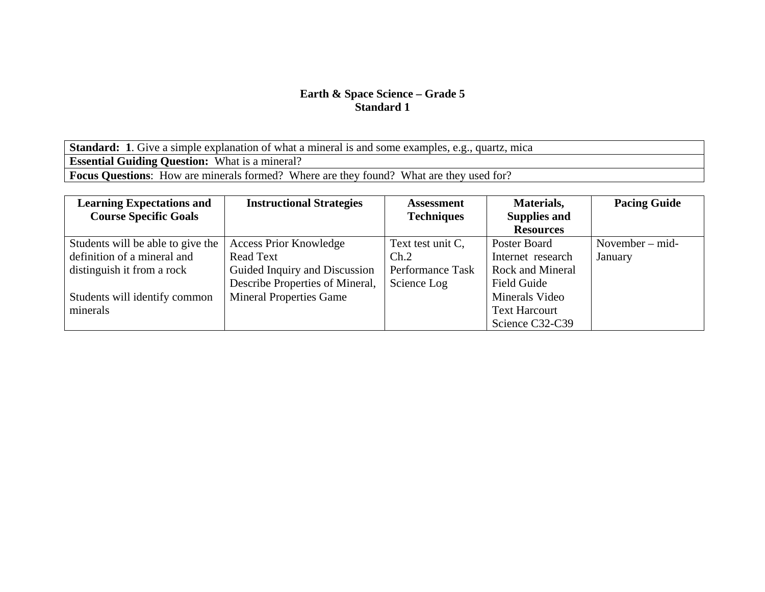**Standard: 1**. Give a simple explanation of what a mineral is and some examples, e.g., quartz, mica **Essential Guiding Question:** What is a mineral? **Focus Questions**: How are minerals formed? Where are they found? What are they used for?

| <b>Learning Expectations and</b>  | <b>Instructional Strategies</b> | <b>Assessment</b> | Materials,              | <b>Pacing Guide</b> |
|-----------------------------------|---------------------------------|-------------------|-------------------------|---------------------|
| <b>Course Specific Goals</b>      |                                 | <b>Techniques</b> | <b>Supplies and</b>     |                     |
|                                   |                                 |                   | <b>Resources</b>        |                     |
| Students will be able to give the | <b>Access Prior Knowledge</b>   | Text test unit C, | Poster Board            | November $-$ mid-   |
| definition of a mineral and       | <b>Read Text</b>                | Ch.2              | Internet research       | January             |
| distinguish it from a rock        | Guided Inquiry and Discussion   | Performance Task  | <b>Rock and Mineral</b> |                     |
|                                   | Describe Properties of Mineral, | Science Log       | Field Guide             |                     |
| Students will identify common     | <b>Mineral Properties Game</b>  |                   | Minerals Video          |                     |
| minerals                          |                                 |                   | <b>Text Harcourt</b>    |                     |
|                                   |                                 |                   | Science C32-C39         |                     |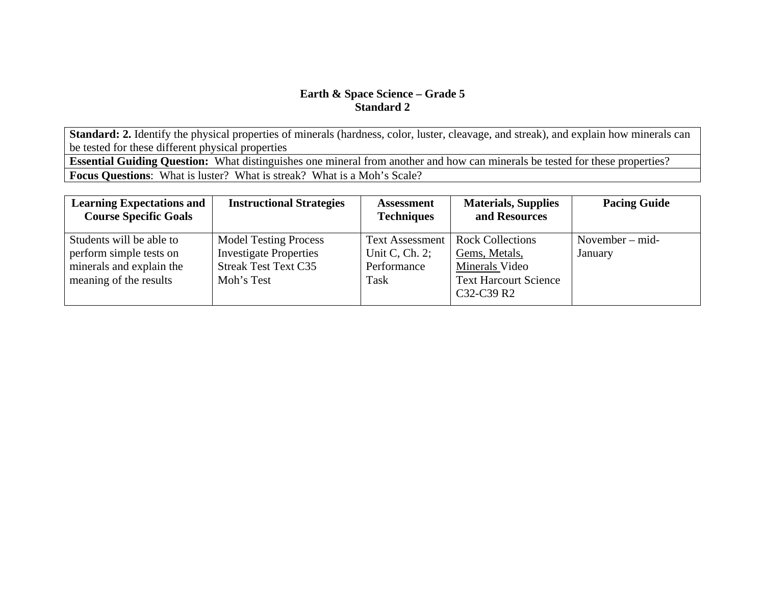**Standard: 2.** Identify the physical properties of minerals (hardness, color, luster, cleavage, and streak), and explain how minerals can be tested for these different physical properties

**Essential Guiding Question:** What distinguishes one mineral from another and how can minerals be tested for these properties? **Focus Questions**: What is luster? What is streak? What is a Moh's Scale?

| <b>Learning Expectations and</b><br><b>Course Specific Goals</b>                                          | <b>Instructional Strategies</b>                                                                            | <b>Assessment</b><br><b>Techniques</b>                             | <b>Materials, Supplies</b><br>and Resources                                                              | <b>Pacing Guide</b>          |
|-----------------------------------------------------------------------------------------------------------|------------------------------------------------------------------------------------------------------------|--------------------------------------------------------------------|----------------------------------------------------------------------------------------------------------|------------------------------|
| Students will be able to<br>perform simple tests on<br>minerals and explain the<br>meaning of the results | <b>Model Testing Process</b><br><b>Investigate Properties</b><br><b>Streak Test Text C35</b><br>Moh's Test | <b>Text Assessment</b><br>Unit C, Ch. $2$ ;<br>Performance<br>Task | <b>Rock Collections</b><br>Gems, Metals,<br>Minerals Video<br><b>Text Harcourt Science</b><br>C32-C39 R2 | November $-$ mid-<br>January |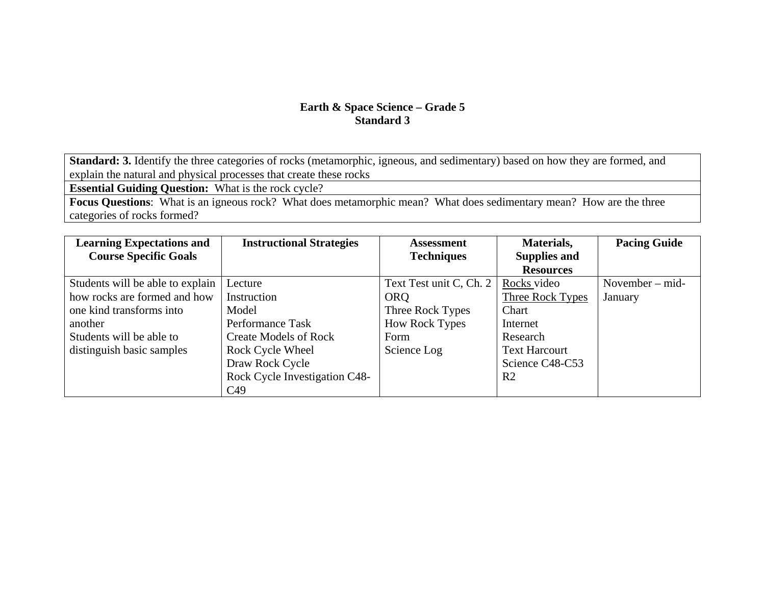**Standard: 3.** Identify the three categories of rocks (metamorphic, igneous, and sedimentary) based on how they are formed, and explain the natural and physical processes that create these rocks

**Essential Guiding Question:** What is the rock cycle?

**Focus Questions**: What is an igneous rock? What does metamorphic mean? What does sedimentary mean? How are the three categories of rocks formed?

| <b>Learning Expectations and</b> | <b>Instructional Strategies</b> | <b>Assessment</b>       | Materials,           | <b>Pacing Guide</b> |
|----------------------------------|---------------------------------|-------------------------|----------------------|---------------------|
| <b>Course Specific Goals</b>     |                                 | <b>Techniques</b>       | <b>Supplies and</b>  |                     |
|                                  |                                 |                         | <b>Resources</b>     |                     |
| Students will be able to explain | Lecture                         | Text Test unit C, Ch. 2 | Rocks video          | November $-$ mid-   |
| how rocks are formed and how     | Instruction                     | <b>ORQ</b>              | Three Rock Types     | January             |
| one kind transforms into         | Model                           | Three Rock Types        | Chart                |                     |
| another                          | Performance Task                | <b>How Rock Types</b>   | Internet             |                     |
| Students will be able to         | <b>Create Models of Rock</b>    | Form                    | Research             |                     |
| distinguish basic samples        | Rock Cycle Wheel                | Science Log             | <b>Text Harcourt</b> |                     |
|                                  | Draw Rock Cycle                 |                         | Science C48-C53      |                     |
|                                  | Rock Cycle Investigation C48-   |                         | R <sub>2</sub>       |                     |
|                                  | C <sub>49</sub>                 |                         |                      |                     |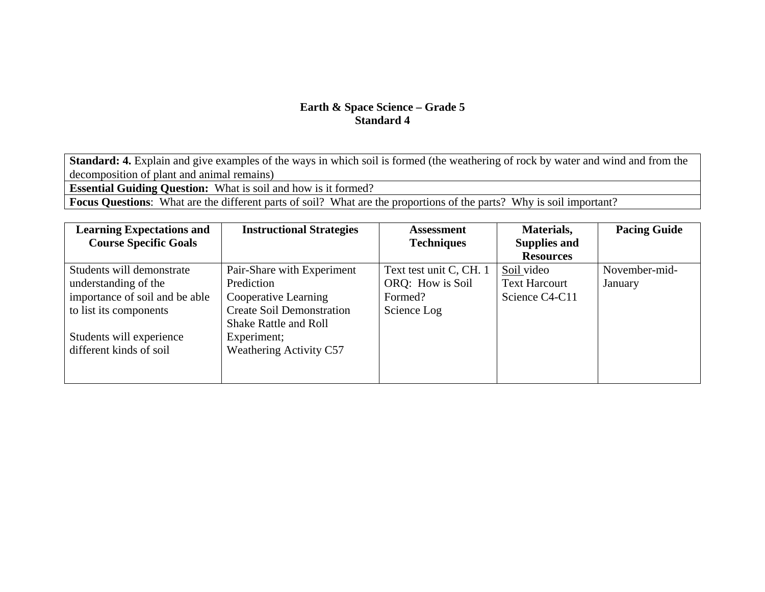**Standard: 4.** Explain and give examples of the ways in which soil is formed (the weathering of rock by water and wind and from the decomposition of plant and animal remains)

**Essential Guiding Question:** What is soil and how is it formed?

**Focus Questions**: What are the different parts of soil? What are the proportions of the parts? Why is soil important?

| <b>Learning Expectations and</b> | <b>Instructional Strategies</b>  | Assessment              | Materials,           | <b>Pacing Guide</b> |
|----------------------------------|----------------------------------|-------------------------|----------------------|---------------------|
| <b>Course Specific Goals</b>     |                                  | <b>Techniques</b>       | <b>Supplies and</b>  |                     |
|                                  |                                  |                         | <b>Resources</b>     |                     |
| Students will demonstrate        | Pair-Share with Experiment       | Text test unit C, CH. 1 | Soil video           | November-mid-       |
| understanding of the             | Prediction                       | ORQ: How is Soil        | <b>Text Harcourt</b> | January             |
| importance of soil and be able   | Cooperative Learning             | Formed?                 | Science C4-C11       |                     |
| to list its components           | <b>Create Soil Demonstration</b> | Science Log             |                      |                     |
|                                  | <b>Shake Rattle and Roll</b>     |                         |                      |                     |
| Students will experience         | Experiment;                      |                         |                      |                     |
| different kinds of soil          | <b>Weathering Activity C57</b>   |                         |                      |                     |
|                                  |                                  |                         |                      |                     |
|                                  |                                  |                         |                      |                     |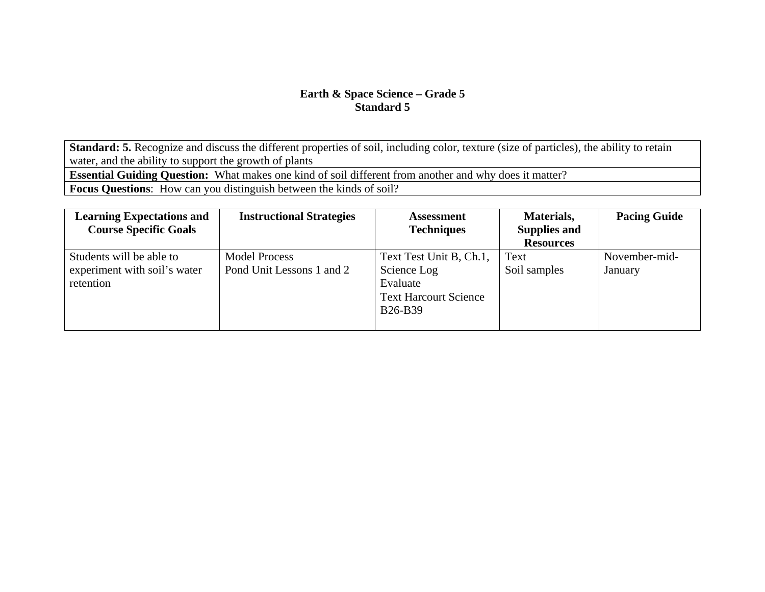**Standard: 5.** Recognize and discuss the different properties of soil, including color, texture (size of particles), the ability to retain water, and the ability to support the growth of plants

**Essential Guiding Question:** What makes one kind of soil different from another and why does it matter?

**Focus Questions**: How can you distinguish between the kinds of soil?

| <b>Learning Expectations and</b><br><b>Course Specific Goals</b>      | <b>Instructional Strategies</b>                   | <b>Assessment</b><br><b>Techniques</b>                                                        | Materials,<br><b>Supplies and</b><br><b>Resources</b> | <b>Pacing Guide</b>      |
|-----------------------------------------------------------------------|---------------------------------------------------|-----------------------------------------------------------------------------------------------|-------------------------------------------------------|--------------------------|
| Students will be able to<br>experiment with soil's water<br>retention | <b>Model Process</b><br>Pond Unit Lessons 1 and 2 | Text Test Unit B, Ch.1,<br>Science Log<br>Evaluate<br><b>Text Harcourt Science</b><br>B26-B39 | Text<br>Soil samples                                  | November-mid-<br>January |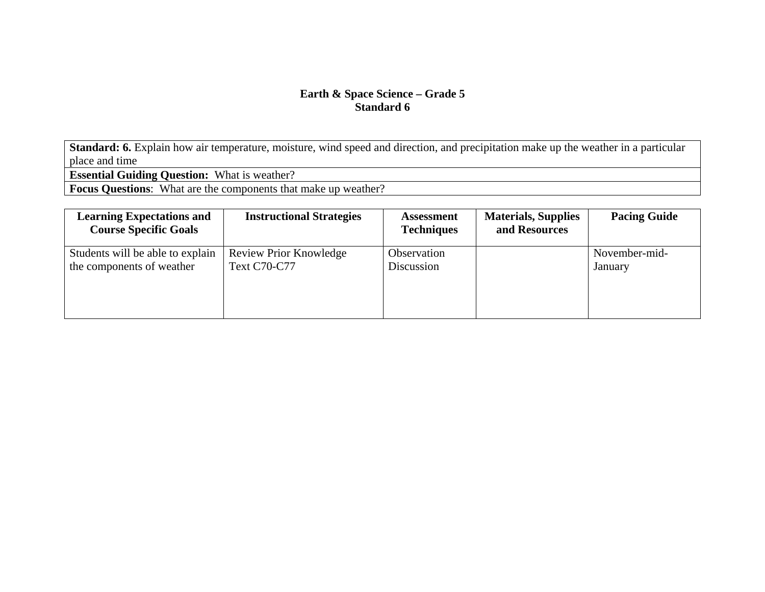**Standard: 6.** Explain how air temperature, moisture, wind speed and direction, and precipitation make up the weather in a particular place and time

**Essential Guiding Question:** What is weather?

**Focus Questions**: What are the components that make up weather?

| <b>Learning Expectations and</b><br><b>Course Specific Goals</b> | <b>Instructional Strategies</b> | <b>Assessment</b><br><b>Techniques</b> | <b>Materials, Supplies</b><br>and Resources | <b>Pacing Guide</b> |
|------------------------------------------------------------------|---------------------------------|----------------------------------------|---------------------------------------------|---------------------|
| Students will be able to explain                                 | <b>Review Prior Knowledge</b>   | Observation                            |                                             | November-mid-       |
| the components of weather                                        | <b>Text C70-C77</b>             | Discussion                             |                                             | January             |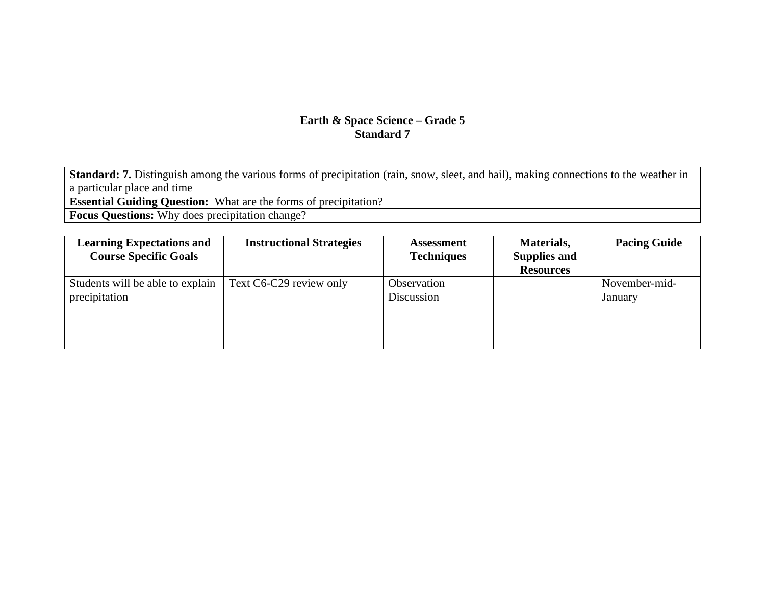Standard: 7. Distinguish among the various forms of precipitation (rain, snow, sleet, and hail), making connections to the weather in a particular place and time

**Essential Guiding Question:** What are the forms of precipitation?

**Focus Questions:** Why does precipitation change?

| <b>Learning Expectations and</b> | <b>Instructional Strategies</b> | <b>Assessment</b> | Materials,          | <b>Pacing Guide</b> |
|----------------------------------|---------------------------------|-------------------|---------------------|---------------------|
| <b>Course Specific Goals</b>     |                                 | <b>Techniques</b> | <b>Supplies and</b> |                     |
|                                  |                                 |                   | <b>Resources</b>    |                     |
| Students will be able to explain | Text C6-C29 review only         | Observation       |                     | November-mid-       |
| precipitation                    |                                 | Discussion        |                     | January             |
|                                  |                                 |                   |                     |                     |
|                                  |                                 |                   |                     |                     |
|                                  |                                 |                   |                     |                     |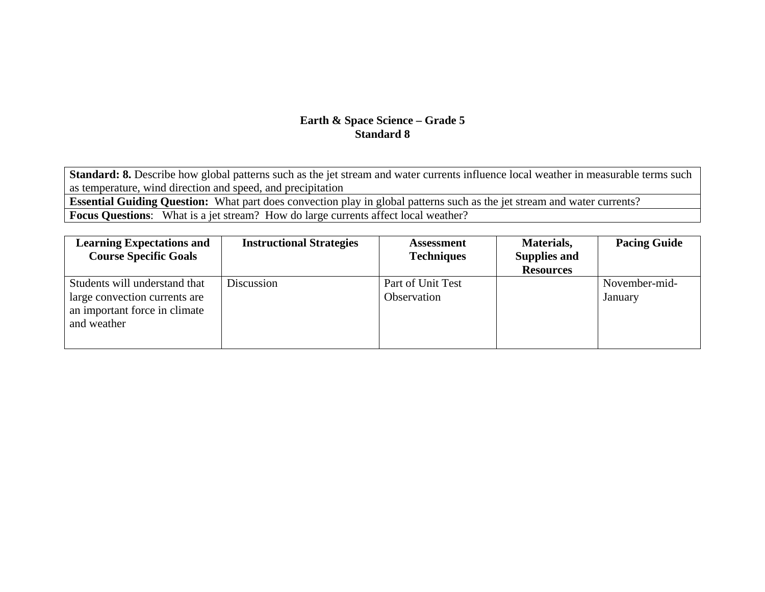**Standard: 8.** Describe how global patterns such as the jet stream and water currents influence local weather in measurable terms such as temperature, wind direction and speed, and precipitation

**Essential Guiding Question:** What part does convection play in global patterns such as the jet stream and water currents?

**Focus Questions**: What is a jet stream? How do large currents affect local weather?

| <b>Learning Expectations and</b><br><b>Course Specific Goals</b>                                               | <b>Instructional Strategies</b> | <b>Assessment</b><br><b>Techniques</b> | Materials,<br><b>Supplies and</b><br><b>Resources</b> | <b>Pacing Guide</b>      |
|----------------------------------------------------------------------------------------------------------------|---------------------------------|----------------------------------------|-------------------------------------------------------|--------------------------|
| Students will understand that<br>large convection currents are<br>an important force in climate<br>and weather | Discussion                      | Part of Unit Test<br>Observation       |                                                       | November-mid-<br>January |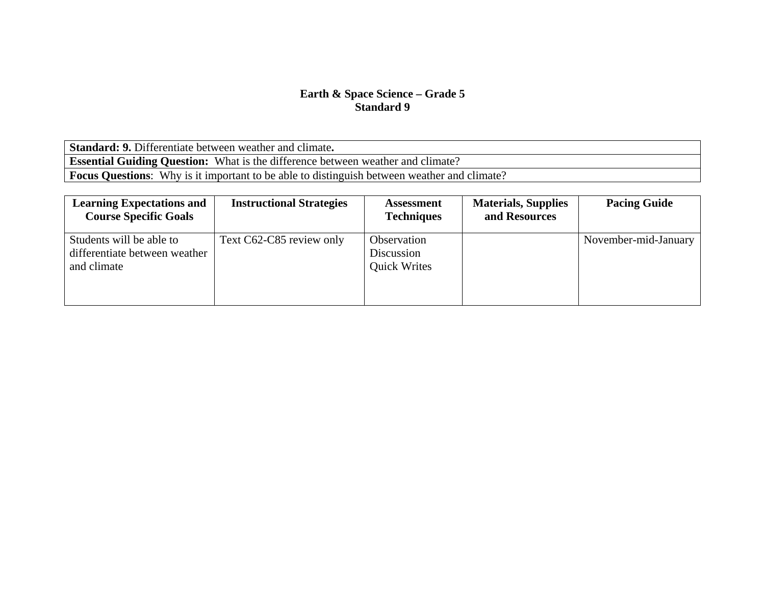**Standard: 9.** Differentiate between weather and climate**. Essential Guiding Question:** What is the difference between weather and climate? **Focus Questions**: Why is it important to be able to distinguish between weather and climate?

| <b>Learning Expectations and</b><br><b>Course Specific Goals</b>         | <b>Instructional Strategies</b> | <b>Assessment</b><br><b>Techniques</b>           | <b>Materials, Supplies</b><br>and Resources | <b>Pacing Guide</b>  |
|--------------------------------------------------------------------------|---------------------------------|--------------------------------------------------|---------------------------------------------|----------------------|
| Students will be able to<br>differentiate between weather<br>and climate | Text C62-C85 review only        | Observation<br>Discussion<br><b>Quick Writes</b> |                                             | November-mid-January |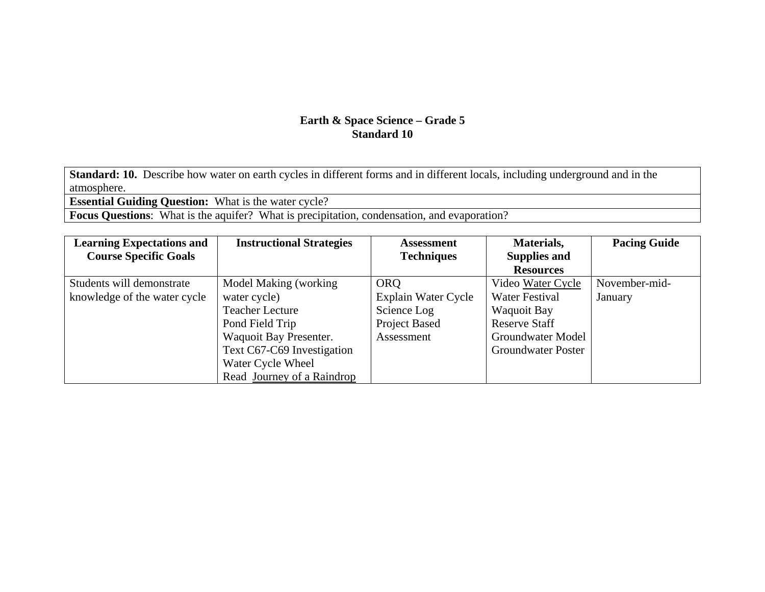**Standard: 10.** Describe how water on earth cycles in different forms and in different locals, including underground and in the atmosphere.

**Essential Guiding Question:** What is the water cycle?

**Focus Questions:** What is the aquifer? What is precipitation, condensation, and evaporation?

| <b>Learning Expectations and</b> | <b>Instructional Strategies</b> | <b>Assessment</b>   | Materials,                | <b>Pacing Guide</b> |
|----------------------------------|---------------------------------|---------------------|---------------------------|---------------------|
| <b>Course Specific Goals</b>     |                                 | <b>Techniques</b>   | <b>Supplies and</b>       |                     |
|                                  |                                 |                     | <b>Resources</b>          |                     |
| Students will demonstrate        | Model Making (working)          | <b>ORQ</b>          | Video Water Cycle         | November-mid-       |
| knowledge of the water cycle     | water cycle)                    | Explain Water Cycle | <b>Water Festival</b>     | January             |
|                                  | <b>Teacher Lecture</b>          | Science Log         | Waquoit Bay               |                     |
|                                  | Pond Field Trip                 | Project Based       | <b>Reserve Staff</b>      |                     |
|                                  | Waquoit Bay Presenter.          | Assessment          | Groundwater Model         |                     |
|                                  | Text C67-C69 Investigation      |                     | <b>Groundwater Poster</b> |                     |
|                                  | Water Cycle Wheel               |                     |                           |                     |
|                                  | Read Journey of a Raindrop      |                     |                           |                     |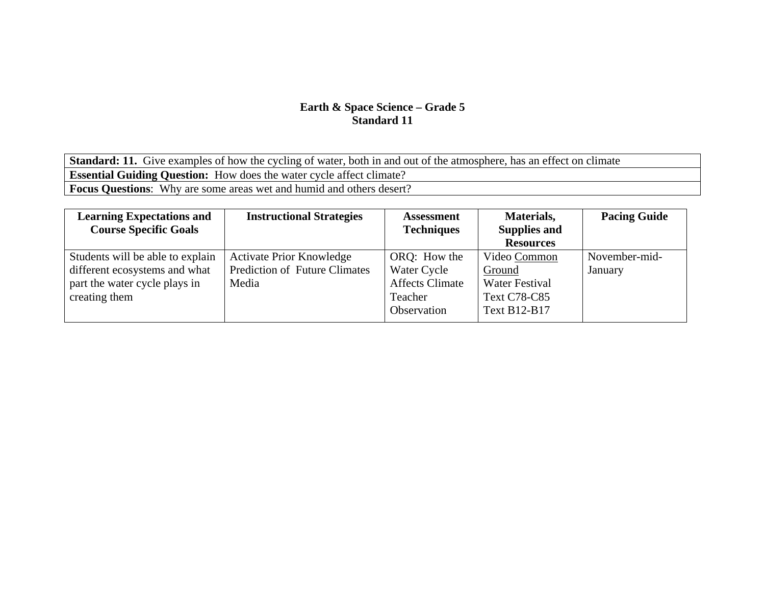**Standard: 11.** Give examples of how the cycling of water, both in and out of the atmosphere, has an effect on climate **Essential Guiding Question:** How does the water cycle affect climate? **Focus Questions**: Why are some areas wet and humid and others desert?

| <b>Learning Expectations and</b><br><b>Course Specific Goals</b>                                                    | <b>Instructional Strategies</b>                                                  | <b>Assessment</b><br><b>Techniques</b>                                          | Materials,<br><b>Supplies and</b><br><b>Resources</b>                                  | <b>Pacing Guide</b>      |
|---------------------------------------------------------------------------------------------------------------------|----------------------------------------------------------------------------------|---------------------------------------------------------------------------------|----------------------------------------------------------------------------------------|--------------------------|
| Students will be able to explain<br>different ecosystems and what<br>part the water cycle plays in<br>creating them | <b>Activate Prior Knowledge</b><br><b>Prediction of Future Climates</b><br>Media | ORQ: How the<br>Water Cycle<br><b>Affects Climate</b><br>Teacher<br>Observation | Video Common<br>Ground<br><b>Water Festival</b><br><b>Text C78-C85</b><br>Text B12-B17 | November-mid-<br>January |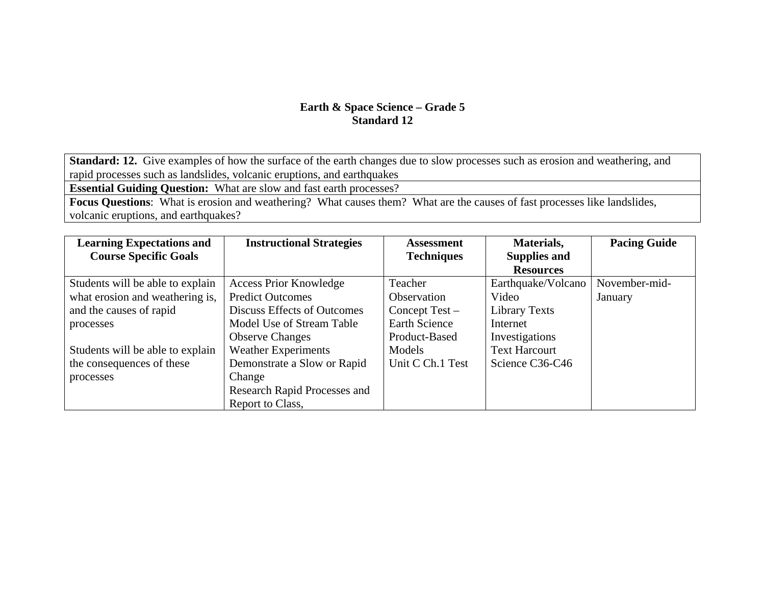**Standard: 12.** Give examples of how the surface of the earth changes due to slow processes such as erosion and weathering, and rapid processes such as landslides, volcanic eruptions, and earthquakes

**Essential Guiding Question:** What are slow and fast earth processes?

**Focus Questions**: What is erosion and weathering? What causes them? What are the causes of fast processes like landslides, volcanic eruptions, and earthquakes?

| <b>Learning Expectations and</b> | <b>Instructional Strategies</b> | <b>Assessment</b>    | Materials,           | <b>Pacing Guide</b> |
|----------------------------------|---------------------------------|----------------------|----------------------|---------------------|
| <b>Course Specific Goals</b>     |                                 | <b>Techniques</b>    | <b>Supplies and</b>  |                     |
|                                  |                                 |                      | <b>Resources</b>     |                     |
| Students will be able to explain | <b>Access Prior Knowledge</b>   | Teacher              | Earthquake/Volcano   | November-mid-       |
| what erosion and weathering is,  | <b>Predict Outcomes</b>         | <b>Observation</b>   | Video                | January             |
| and the causes of rapid          | Discuss Effects of Outcomes     | Concept $Test -$     | Library Texts        |                     |
| processes                        | Model Use of Stream Table       | <b>Earth Science</b> | Internet             |                     |
|                                  | <b>Observe Changes</b>          | Product-Based        | Investigations       |                     |
| Students will be able to explain | <b>Weather Experiments</b>      | Models               | <b>Text Harcourt</b> |                     |
| the consequences of these        | Demonstrate a Slow or Rapid     | Unit C Ch.1 Test     | Science C36-C46      |                     |
| processes                        | Change                          |                      |                      |                     |
|                                  | Research Rapid Processes and    |                      |                      |                     |
|                                  | Report to Class,                |                      |                      |                     |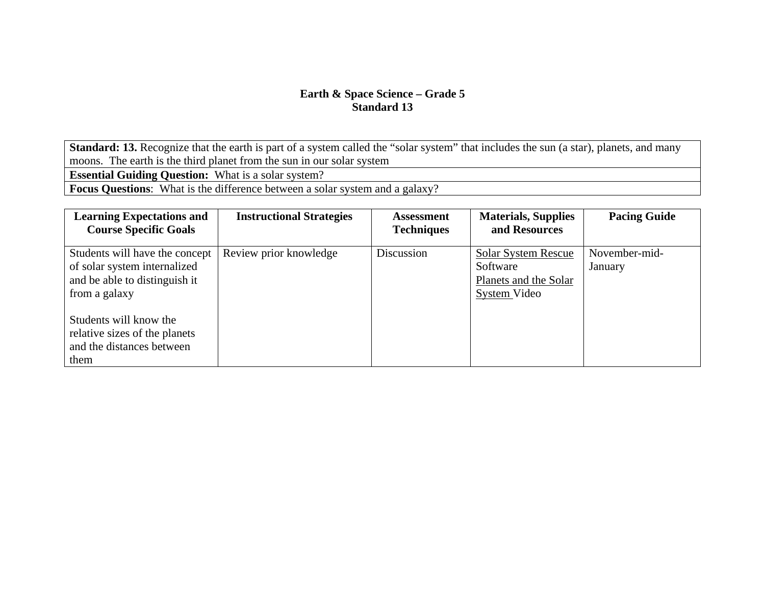**Standard: 13.** Recognize that the earth is part of a system called the "solar system" that includes the sun (a star), planets, and many moons. The earth is the third planet from the sun in our solar system

**Essential Guiding Question:** What is a solar system?

**Focus Questions**: What is the difference between a solar system and a galaxy?

| <b>Learning Expectations and</b><br><b>Course Specific Goals</b>                                                 | <b>Instructional Strategies</b> | <b>Assessment</b><br><b>Techniques</b> | <b>Materials, Supplies</b><br>and Resources                                     | <b>Pacing Guide</b>      |
|------------------------------------------------------------------------------------------------------------------|---------------------------------|----------------------------------------|---------------------------------------------------------------------------------|--------------------------|
| Students will have the concept<br>of solar system internalized<br>and be able to distinguish it<br>from a galaxy | Review prior knowledge          | Discussion                             | <b>Solar System Rescue</b><br>Software<br>Planets and the Solar<br>System Video | November-mid-<br>January |
| Students will know the<br>relative sizes of the planets<br>and the distances between<br>them                     |                                 |                                        |                                                                                 |                          |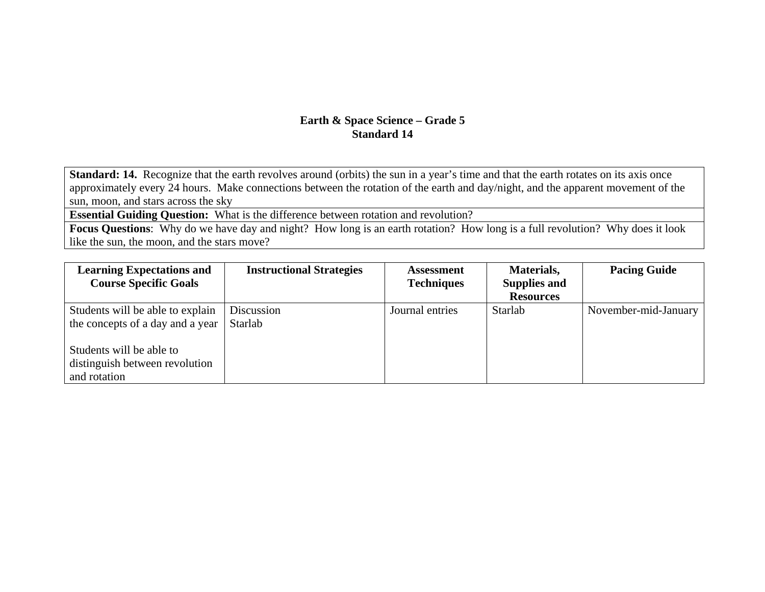**Standard: 14.** Recognize that the earth revolves around (orbits) the sun in a year's time and that the earth rotates on its axis once approximately every 24 hours. Make connections between the rotation of the earth and day/night, and the apparent movement of the sun, moon, and stars across the sky

**Essential Guiding Question:** What is the difference between rotation and revolution?

**Focus Questions**: Why do we have day and night? How long is an earth rotation? How long is a full revolution? Why does it look like the sun, the moon, and the stars move?

| <b>Learning Expectations and</b> | <b>Instructional Strategies</b> | <b>Assessment</b> | Materials,          | <b>Pacing Guide</b>  |
|----------------------------------|---------------------------------|-------------------|---------------------|----------------------|
| <b>Course Specific Goals</b>     |                                 | <b>Techniques</b> | <b>Supplies and</b> |                      |
|                                  |                                 |                   | <b>Resources</b>    |                      |
| Students will be able to explain | Discussion                      | Journal entries   | Starlab             | November-mid-January |
| the concepts of a day and a year | Starlab                         |                   |                     |                      |
| Students will be able to         |                                 |                   |                     |                      |
| distinguish between revolution   |                                 |                   |                     |                      |
| and rotation                     |                                 |                   |                     |                      |